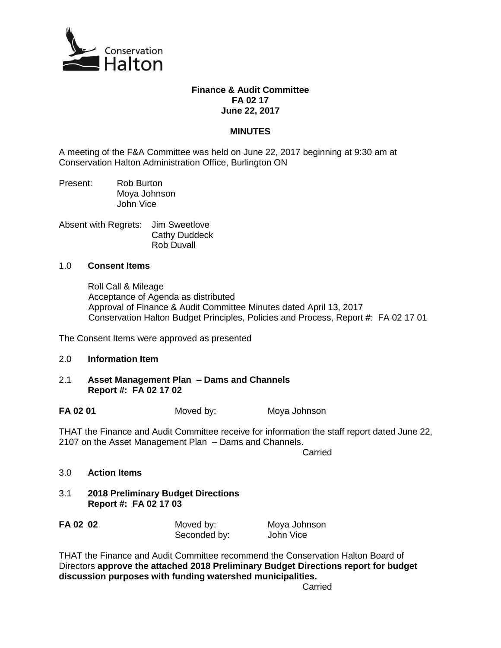

## **Finance & Audit Committee FA 02 17 June 22, 2017**

## **MINUTES**

A meeting of the F&A Committee was held on June 22, 2017 beginning at 9:30 am at Conservation Halton Administration Office, Burlington ON

Present: Rob Burton Moya Johnson John Vice

Absent with Regrets: Jim Sweetlove Cathy Duddeck Rob Duvall

## 1.0 **Consent Items**

Roll Call & Mileage Acceptance of Agenda as distributed Approval of Finance & Audit Committee Minutes dated April 13, 2017 Conservation Halton Budget Principles, Policies and Process, Report #: FA 02 17 01

The Consent Items were approved as presented

## 2.0 **Information Item**

2.1 **Asset Management Plan – Dams and Channels Report #: FA 02 17 02**

**FA 02 01** Moved by: Mova Johnson

THAT the Finance and Audit Committee receive for information the staff report dated June 22, 2107 on the Asset Management Plan – Dams and Channels.

Carried

- 3.0 **Action Items**
- 3.1 **2018 Preliminary Budget Directions Report #: FA 02 17 03**

| FA 02 02 | Moved by:    | Moya Johnson |
|----------|--------------|--------------|
|          | Seconded by: | John Vice    |

THAT the Finance and Audit Committee recommend the Conservation Halton Board of Directors **approve the attached 2018 Preliminary Budget Directions report for budget discussion purposes with funding watershed municipalities.**

**Carried**